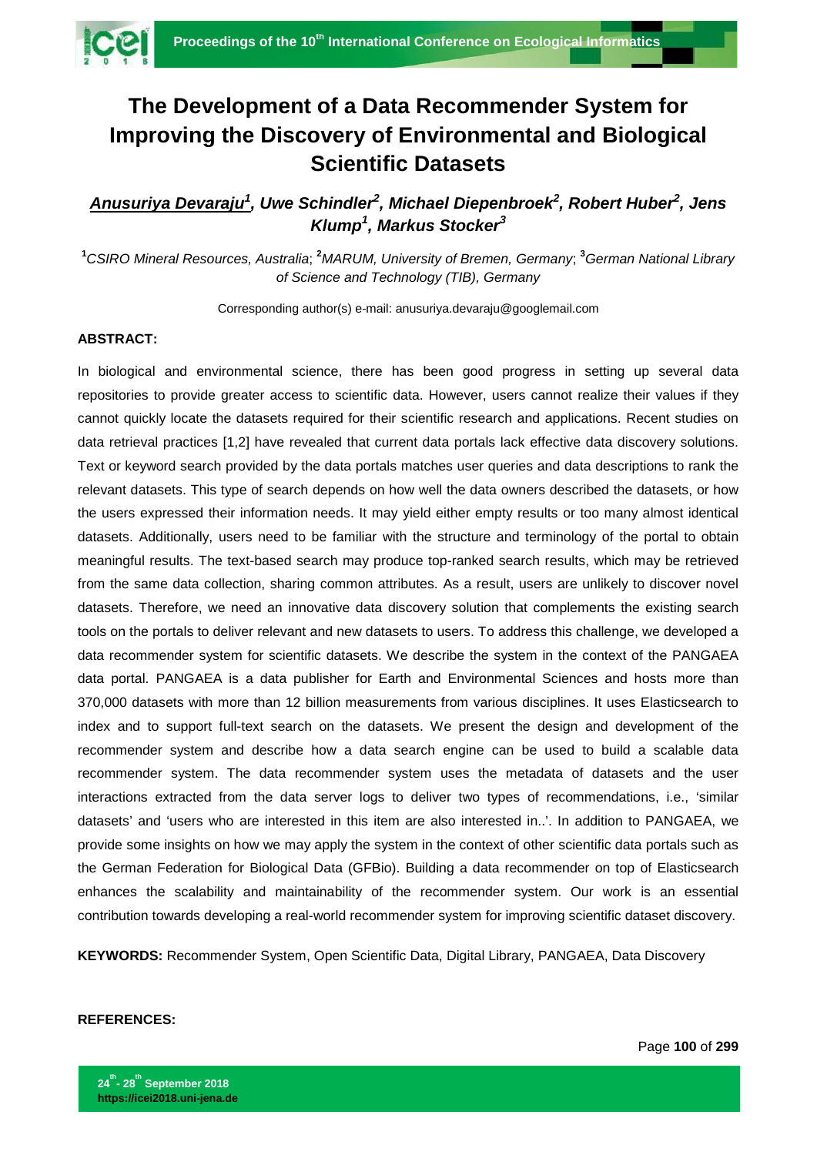

## **The Development of a Data Recommender System for Improving the Discovery of Environmental and Biological Scientific Datasets**

*Anusuriya Devaraju1 , Uwe Schindler<sup>2</sup> , Michael Diepenbroek<sup>2</sup> , Robert Huber<sup>2</sup> , Jens Klump1 , Markus Stocker<sup>3</sup>*

<sup>1</sup>CSIRO Mineral Resources, Australia; <sup>2</sup>MARUM, University of Bremen, Germany; <sup>3</sup>German National Library *of Science and Technology (TIB), Germany*

Corresponding author(s) e-mail: anusuriya.devaraju@googlemail.com

## **ABSTRACT:**

In biological and environmental science, there has been good progress in setting up several data repositories to provide greater access to scientific data. However, users cannot realize their values if they cannot quickly locate the datasets required for their scientific research and applications. Recent studies on data retrieval practices [1,2] have revealed that current data portals lack effective data discovery solutions. Text or keyword search provided by the data portals matches user queries and data descriptions to rank the relevant datasets. This type of search depends on how well the data owners described the datasets, or how the users expressed their information needs. It may yield either empty results or too many almost identical datasets. Additionally, users need to be familiar with the structure and terminology of the portal to obtain meaningful results. The text-based search may produce top-ranked search results, which may be retrieved from the same data collection, sharing common attributes. As a result, users are unlikely to discover novel datasets. Therefore, we need an innovative data discovery solution that complements the existing search tools on the portals to deliver relevant and new datasets to users. To address this challenge, we developed a data recommender system for scientific datasets. We describe the system in the context of the PANGAEA data portal. PANGAEA is a data publisher for Earth and Environmental Sciences and hosts more than 370,000 datasets with more than 12 billion measurements from various disciplines. It uses Elasticsearch to index and to support full-text search on the datasets. We present the design and development of the recommender system and describe how a data search engine can be used to build a scalable data recommender system. The data recommender system uses the metadata of datasets and the user interactions extracted from the data server logs to deliver two types of recommendations, i.e., 'similar datasets' and 'users who are interested in this item are also interested in..'. In addition to PANGAEA, we provide some insights on how we may apply the system in the context of other scientific data portals such as the German Federation for Biological Data (GFBio). Building a data recommender on top of Elasticsearch enhances the scalability and maintainability of the recommender system. Our work is an essential contribution towards developing a real-world recommender system for improving scientific dataset discovery.

**KEYWORDS:** Recommender System, Open Scientific Data, Digital Library, PANGAEA, Data Discovery

## **REFERENCES:**